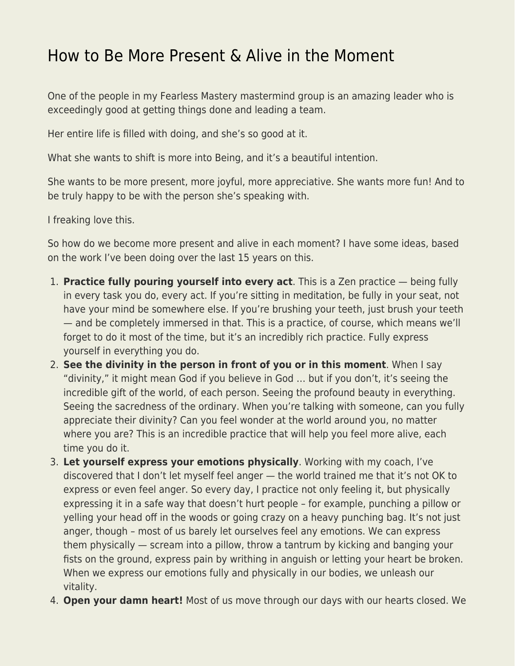## [How to Be More Present & Alive in the Moment](https://everything-voluntary.com/how-to-be-more-present-alive-in-the-moment)

One of the people in my Fearless Mastery mastermind group is an amazing leader who is exceedingly good at getting things done and leading a team.

Her entire life is filled with doing, and she's so good at it.

What she wants to shift is more into Being, and it's a beautiful intention.

She wants to be more present, more joyful, more appreciative. She wants more fun! And to be truly happy to be with the person she's speaking with.

I freaking love this.

So how do we become more present and alive in each moment? I have some ideas, based on the work I've been doing over the last 15 years on this.

- 1. **Practice fully pouring yourself into every act**. This is a Zen practice being fully in every task you do, every act. If you're sitting in meditation, be fully in your seat, not have your mind be somewhere else. If you're brushing your teeth, just brush your teeth — and be completely immersed in that. This is a practice, of course, which means we'll forget to do it most of the time, but it's an incredibly rich practice. Fully express yourself in everything you do.
- 2. **See the divinity in the person in front of you or in this moment**. When I say "divinity," it might mean God if you believe in God … but if you don't, it's seeing the incredible gift of the world, of each person. Seeing the profound beauty in everything. Seeing the sacredness of the ordinary. When you're talking with someone, can you fully appreciate their divinity? Can you feel wonder at the world around you, no matter where you are? This is an incredible practice that will help you feel more alive, each time you do it.
- 3. **Let yourself express your emotions physically**. Working with my coach, I've discovered that I don't let myself feel anger — the world trained me that it's not OK to express or even feel anger. So every day, I practice not only feeling it, but physically expressing it in a safe way that doesn't hurt people – for example, punching a pillow or yelling your head off in the woods or going crazy on a heavy punching bag. It's not just anger, though – most of us barely let ourselves feel any emotions. We can express them physically — scream into a pillow, throw a tantrum by kicking and banging your fists on the ground, express pain by writhing in anguish or letting your heart be broken. When we express our emotions fully and physically in our bodies, we unleash our vitality.
- 4. **Open your damn heart!** Most of us move through our days with our hearts closed. We